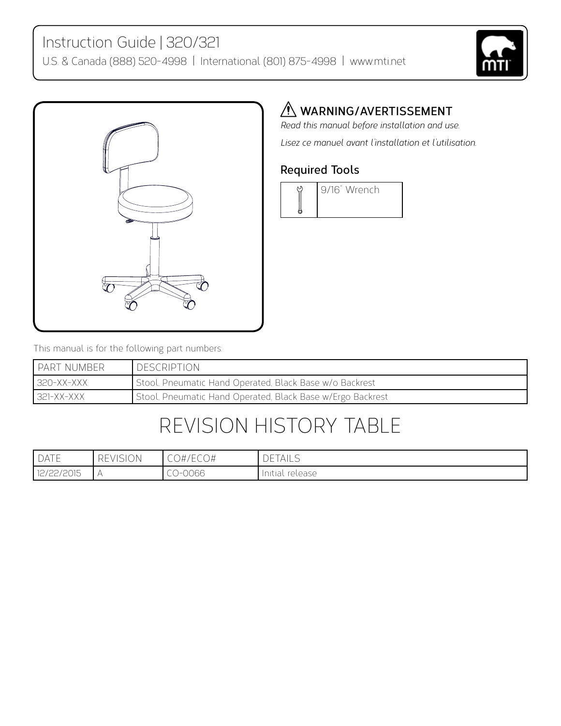



### *A* WARNING/AVERTISSEMENT

*Read this manual before installation and use. Lisez ce manuel avant l'installation et l'utilisation.*

#### **Required Tools**



This manual is for the following part numbers:

| I PART NUMBER  | <b>DESCRIPTION</b>                                         |
|----------------|------------------------------------------------------------|
| 320-XX-XXX     | Stool, Pneumatic Hand Operated, Black Base w/o Backrest    |
| $ 321-XX-XXX $ | Stool, Pneumatic Hand Operated, Black Base w/Ergo Backrest |

# Revision History Table

| $I$ DATE   | <b>REVISION</b> | CO#/ECO# | <b>DETAILS</b>  |
|------------|-----------------|----------|-----------------|
| 12/22/2015 |                 | $-00066$ | Initial release |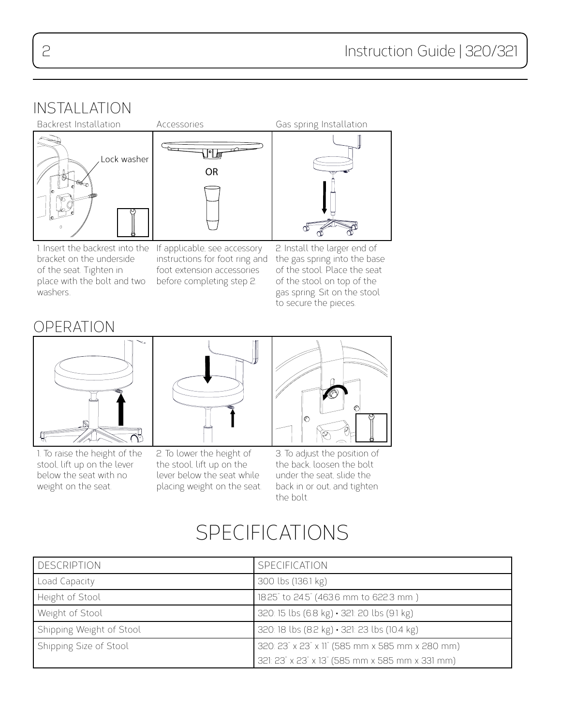## INSTALLATION



1. Insert the backrest into the If applicable, see accessory bracket on the underside of the seat. Tighten in place with the bolt and two washers.

instructions for foot ring and foot extension accessories before completing step 2.

2. Install the larger end of the gas spring into the base of the stool. Place the seat of the stool on top of the gas spring. Sit on the stool to secure the pieces.

### operation



1. To raise the height of the stool, lift up on the lever below the seat with no weight on the seat.



2. To lower the height of the stool, lift up on the lever below the seat while placing weight on the seat.



3. To adjust the position of the back, loosen the bolt under the seat, slide the back in or out, and tighten the bolt.

# SPECIFICATIONS

| DESCRIPTION              | SPECIFICATION                                   |
|--------------------------|-------------------------------------------------|
| Load Capacity            | 300 lbs (136.1 kg)                              |
| Height of Stool          | 18.25" to 24.5" (463.6 mm to 622.3 mm)          |
| Weight of Stool          | 320: 15 lbs (6.8 kg) · 321: 20 lbs (9.1 kg)     |
| Shipping Weight of Stool | 320: 18 lbs (8.2 kg) · 321: 23 lbs (10.4 kg)    |
| Shipping Size of Stool   | 320: 23" x 23" x 11" (585 mm x 585 mm x 280 mm) |
|                          | 321: 23" x 23" x 13" (585 mm x 585 mm x 331 mm) |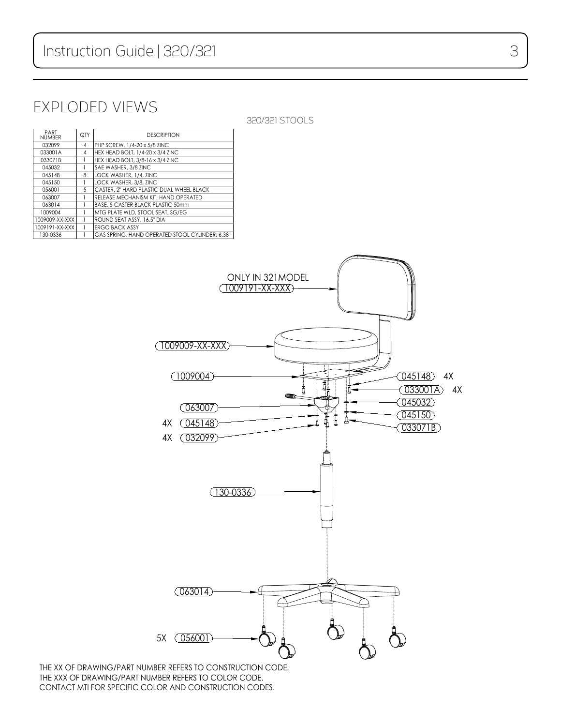## Exploded views

320/321 Stools

| PART<br><b>NUMBER</b> | QTY | <b>DESCRIPTION</b>                              |
|-----------------------|-----|-------------------------------------------------|
| 032099                | 4   | PHP SCREW, 1/4-20 x 5/8 ZINC                    |
| 033001A               | 4   | HEX HEAD BOLT, 1/4-20 x 3/4 ZINC                |
| 033071B               |     | HEX HEAD BOLT, 3/8-16 x 3/4 ZINC                |
| 045032                |     | SAE WASHER, 3/8 ZINC                            |
| 045148                | 8   | LOCK WASHER, 1/4, ZINC                          |
| 045150                |     | LOCK WASHER, 3/8, ZINC                          |
| 0.56001               | 5   | CASTER, 2" HARD PLASTIC DUAL WHEEL BLACK        |
| 063007                |     | RELEASE MECHANISM KIT, HAND OPERATED            |
| 063014                |     | BASE, 5 CASTER BLACK PLASTIC 50mm               |
| 1009004               |     | MTG PLATE WLD, STOOL SEAT, SG/EG                |
| 1009009-XX-XXX        |     | ROUND SEAT ASSY, 16.5" DIA                      |
| 1009191-XX-XXX        |     | <b>ERGO BACK ASSY</b>                           |
| 130-0336              |     | GAS SPRING, HAND OPERATED STOOL CYLINDER, 6.38" |



THE XX OF DRAWING/PART NUMBER REFERS TO CONSTRUCTION CODE. THE XXX OF DRAWING/PART NUMBER REFERS TO COLOR CODE. CONTACT MTI FOR SPECIFIC COLOR AND CONSTRUCTION CODES.